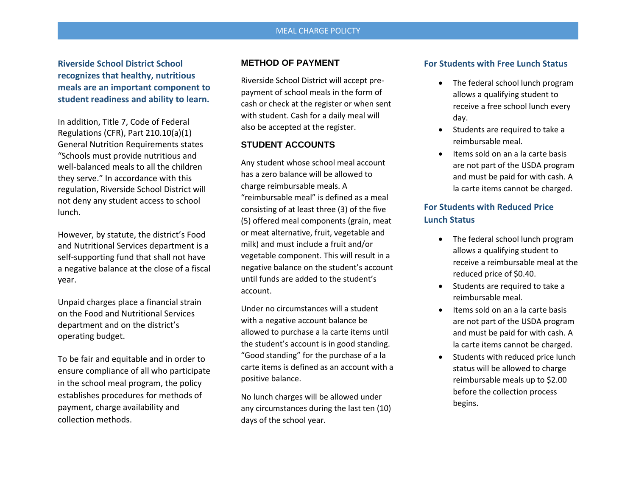### MEAL CHARGE POLICTY

**Riverside School District School recognizes that healthy, nutritious meals are an important component to student readiness and ability to learn.** 

In addition, Title 7, Code of Federal Regulations (CFR), Part 210.10(a)(1) General Nutrition Requirements states "Schools must provide nutritious and well-balanced meals to all the children they serve." In accordance with this regulation, Riverside School District will not deny any student access to school lunch.

However, by statute, the district's Food and Nutritional Services department is a self-supporting fund that shall not have a negative balance at the close of a fiscal year.

Unpaid charges place a financial strain on the Food and Nutritional Services department and on the district's operating budget.

To be fair and equitable and in order to ensure compliance of all who participate in the school meal program, the policy establishes procedures for methods of payment, charge availability and collection methods.

## **METHOD OF PAYMENT**

Riverside School District will accept prepayment of school meals in the form of cash or check at the register or when sent with student. Cash for a daily meal will also be accepted at the register.

### **STUDENT ACCOUNTS**

Any student whose school meal account has a zero balance will be allowed to charge reimbursable meals. A "reimbursable meal" is defined as a meal consisting of at least three (3) of the five (5) offered meal components (grain, meat or meat alternative, fruit, vegetable and milk) and must include a fruit and/or vegetable component. This will result in a negative balance on the student's account until funds are added to the student's account.

Under no circumstances will a student with a negative account balance be allowed to purchase a la carte items until the student's account is in good standing. "Good standing" for the purchase of a la carte items is defined as an account with a positive balance.

No lunch charges will be allowed under any circumstances during the last ten (10) days of the school year.

## **For Students with Free Lunch Status**

- The federal school lunch program allows a qualifying student to receive a free school lunch every day.
- Students are required to take a reimbursable meal.
- $\bullet$  Items sold on an a la carte basis are not part of the USDA program and must be paid for with cash. A la carte items cannot be charged.

# **For Students with Reduced Price Lunch Status**

- The federal school lunch program allows a qualifying student to receive a reimbursable meal at the reduced price of \$0.40.
- Students are required to take a reimbursable meal.
- Items sold on an a la carte basis are not part of the USDA program and must be paid for with cash. A la carte items cannot be charged.
- Students with reduced price lunch status will be allowed to charge reimbursable meals up to \$2.00 before the collection process begins.